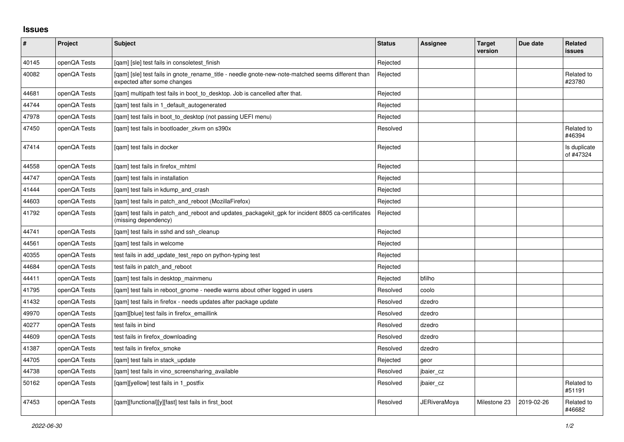## **Issues**

| $\sharp$ | Project      | Subject                                                                                                                          | <b>Status</b> | Assignee            | <b>Target</b><br>version | Due date   | <b>Related</b><br><b>issues</b> |
|----------|--------------|----------------------------------------------------------------------------------------------------------------------------------|---------------|---------------------|--------------------------|------------|---------------------------------|
| 40145    | openQA Tests | [gam] [sle] test fails in consoletest finish                                                                                     | Rejected      |                     |                          |            |                                 |
| 40082    | openQA Tests | [qam] [sle] test fails in gnote_rename_title - needle gnote-new-note-matched seems different than<br>expected after some changes | Rejected      |                     |                          |            | Related to<br>#23780            |
| 44681    | openQA Tests | [gam] multipath test fails in boot to desktop. Job is cancelled after that.                                                      | Rejected      |                     |                          |            |                                 |
| 44744    | openQA Tests | [gam] test fails in 1 default autogenerated                                                                                      | Rejected      |                     |                          |            |                                 |
| 47978    | openQA Tests | [qam] test fails in boot_to_desktop (not passing UEFI menu)                                                                      | Rejected      |                     |                          |            |                                 |
| 47450    | openQA Tests | [gam] test fails in bootloader zkvm on s390x                                                                                     | Resolved      |                     |                          |            | Related to<br>#46394            |
| 47414    | openQA Tests | [gam] test fails in docker                                                                                                       | Rejected      |                     |                          |            | Is duplicate<br>of #47324       |
| 44558    | openQA Tests | [qam] test fails in firefox_mhtml                                                                                                | Rejected      |                     |                          |            |                                 |
| 44747    | openQA Tests | [qam] test fails in installation                                                                                                 | Rejected      |                     |                          |            |                                 |
| 41444    | openQA Tests | [gam] test fails in kdump and crash                                                                                              | Rejected      |                     |                          |            |                                 |
| 44603    | openQA Tests | [gam] test fails in patch and reboot (MozillaFirefox)                                                                            | Rejected      |                     |                          |            |                                 |
| 41792    | openQA Tests | [qam] test fails in patch_and_reboot and updates_packagekit_gpk for incident 8805 ca-certificates<br>(missing dependency)        | Rejected      |                     |                          |            |                                 |
| 44741    | openQA Tests | [gam] test fails in sshd and ssh cleanup                                                                                         | Rejected      |                     |                          |            |                                 |
| 44561    | openQA Tests | [gam] test fails in welcome                                                                                                      | Rejected      |                     |                          |            |                                 |
| 40355    | openQA Tests | test fails in add_update_test_repo on python-typing test                                                                         | Rejected      |                     |                          |            |                                 |
| 44684    | openQA Tests | test fails in patch and reboot                                                                                                   | Rejected      |                     |                          |            |                                 |
| 44411    | openQA Tests | [gam] test fails in desktop mainmenu                                                                                             | Rejected      | bfilho              |                          |            |                                 |
| 41795    | openQA Tests | [gam] test fails in reboot gnome - needle warns about other logged in users                                                      | Resolved      | coolo               |                          |            |                                 |
| 41432    | openQA Tests | [qam] test fails in firefox - needs updates after package update                                                                 | Resolved      | dzedro              |                          |            |                                 |
| 49970    | openQA Tests | [gam][blue] test fails in firefox emaillink                                                                                      | Resolved      | dzedro              |                          |            |                                 |
| 40277    | openQA Tests | test fails in bind                                                                                                               | Resolved      | dzedro              |                          |            |                                 |
| 44609    | openQA Tests | test fails in firefox_downloading                                                                                                | Resolved      | dzedro              |                          |            |                                 |
| 41387    | openQA Tests | test fails in firefox smoke                                                                                                      | Resolved      | dzedro              |                          |            |                                 |
| 44705    | openQA Tests | [gam] test fails in stack update                                                                                                 | Rejected      | geor                |                          |            |                                 |
| 44738    | openQA Tests | [gam] test fails in vino screensharing available                                                                                 | Resolved      | jbaier_cz           |                          |            |                                 |
| 50162    | openQA Tests | [gam][yellow] test fails in 1 postfix                                                                                            | Resolved      | jbaier cz           |                          |            | Related to<br>#51191            |
| 47453    | openQA Tests | [qam][functional][y][fast] test fails in first_boot                                                                              | Resolved      | <b>JERiveraMoya</b> | Milestone 23             | 2019-02-26 | Related to<br>#46682            |